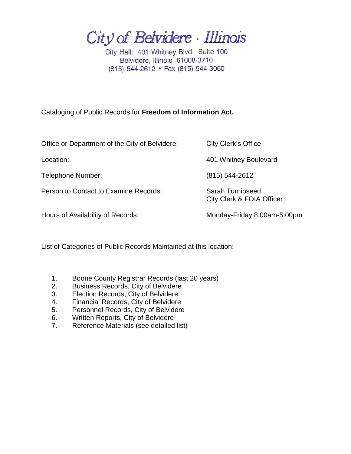City of Belvidere · Illinois

City Hall: 401 Whitney Blvd. Suite 100 Belvidere, Illinois 61008-3710 (815) 544-2612 • Fax (815) 544-3060

Cataloging of Public Records for **Freedom of Information Act.**

| Office or Department of the City of Belvidere: | City Clerk's Office                                      |
|------------------------------------------------|----------------------------------------------------------|
| Location:                                      | 401 Whitney Boulevard                                    |
| Telephone Number:                              | $(815) 544 - 2612$                                       |
| Person to Contact to Examine Records:          | Sarah Turnipseed<br><b>City Clerk &amp; FOIA Officer</b> |
| Hours of Availability of Records:              | Monday-Friday 8:00am-5:00pm                              |
|                                                |                                                          |

List of Categories of Public Records Maintained at this location:

- 1. Boone County Registrar Records (last 20 years)
- 2. Business Records, City of Belvidere
- 3. Election Records, City of Belvidere
- 4. Financial Records, City of Belvidere
- 5. Personnel Records, City of Belvidere
- 6. Written Reports, City of Belvidere
- 7. Reference Materials (see detailed list)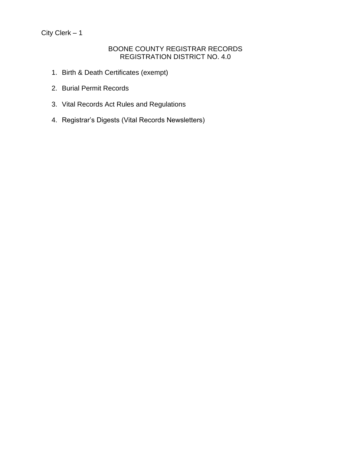### BOONE COUNTY REGISTRAR RECORDS REGISTRATION DISTRICT NO. 4.0

- 1. Birth & Death Certificates (exempt)
- 2. Burial Permit Records
- 3. Vital Records Act Rules and Regulations
- 4. Registrar's Digests (Vital Records Newsletters)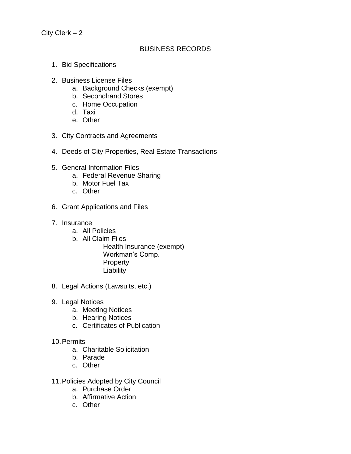### BUSINESS RECORDS

- 1. Bid Specifications
- 2. Business License Files
	- a. Background Checks (exempt)
	- b. Secondhand Stores
	- c. Home Occupation
	- d. Taxi
	- e. Other
- 3. City Contracts and Agreements
- 4. Deeds of City Properties, Real Estate Transactions
- 5. General Information Files
	- a. Federal Revenue Sharing
	- b. Motor Fuel Tax
	- c. Other
- 6. Grant Applications and Files
- 7. Insurance
	- a. All Policies
	- b. All Claim Files
		- Health Insurance (exempt) Workman's Comp. **Property Liability**
- 8. Legal Actions (Lawsuits, etc.)
- 9. Legal Notices
	- a. Meeting Notices
	- b. Hearing Notices
	- c. Certificates of Publication
- 10.Permits
	- a. Charitable Solicitation
	- b. Parade
	- c. Other
- 11.Policies Adopted by City Council
	- a. Purchase Order
	- b. Affirmative Action
	- c. Other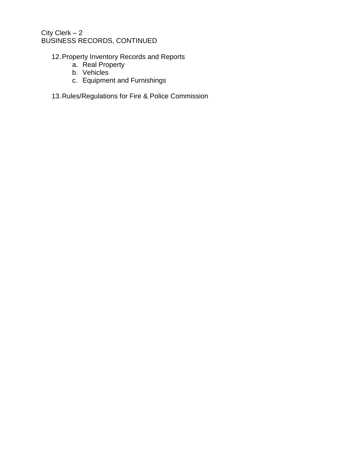## City Clerk – 2 BUSINESS RECORDS, CONTINUED

# 12.Property Inventory Records and Reports

- a. Real Property
- b. Vehicles
- c. Equipment and Furnishings
- 13.Rules/Regulations for Fire & Police Commission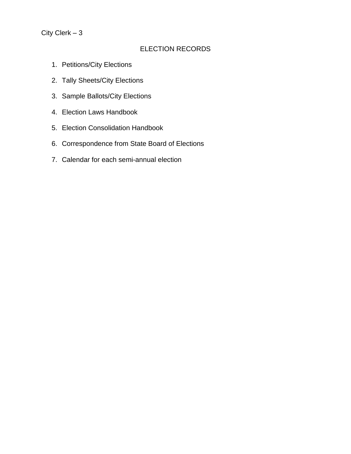## ELECTION RECORDS

- 1. Petitions/City Elections
- 2. Tally Sheets/City Elections
- 3. Sample Ballots/City Elections
- 4. Election Laws Handbook
- 5. Election Consolidation Handbook
- 6. Correspondence from State Board of Elections
- 7. Calendar for each semi-annual election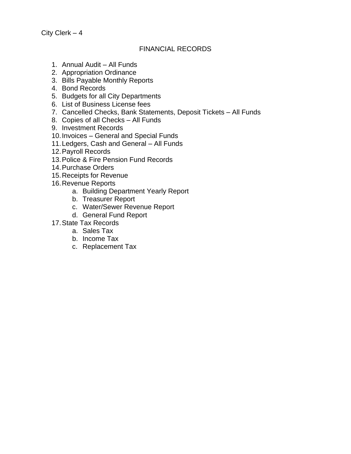#### FINANCIAL RECORDS

- 1. Annual Audit All Funds
- 2. Appropriation Ordinance
- 3. Bills Payable Monthly Reports
- 4. Bond Records
- 5. Budgets for all City Departments
- 6. List of Business License fees
- 7. Cancelled Checks, Bank Statements, Deposit Tickets All Funds
- 8. Copies of all Checks All Funds
- 9. Investment Records
- 10.Invoices General and Special Funds
- 11.Ledgers, Cash and General All Funds
- 12.Payroll Records
- 13.Police & Fire Pension Fund Records
- 14.Purchase Orders
- 15.Receipts for Revenue
- 16.Revenue Reports
	- a. Building Department Yearly Report
	- b. Treasurer Report
	- c. Water/Sewer Revenue Report
	- d. General Fund Report
- 17.State Tax Records
	- a. Sales Tax
	- b. Income Tax
	- c. Replacement Tax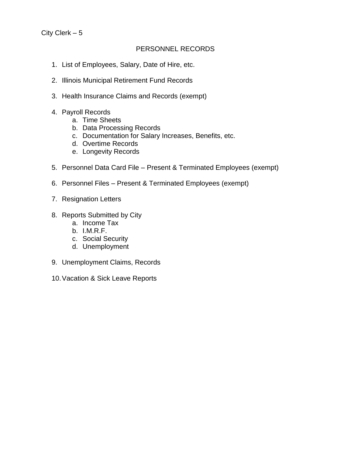### PERSONNEL RECORDS

- 1. List of Employees, Salary, Date of Hire, etc.
- 2. Illinois Municipal Retirement Fund Records
- 3. Health Insurance Claims and Records (exempt)
- 4. Payroll Records
	- a. Time Sheets
	- b. Data Processing Records
	- c. Documentation for Salary Increases, Benefits, etc.
	- d. Overtime Records
	- e. Longevity Records
- 5. Personnel Data Card File Present & Terminated Employees (exempt)
- 6. Personnel Files Present & Terminated Employees (exempt)
- 7. Resignation Letters
- 8. Reports Submitted by City
	- a. Income Tax
	- b. I.M.R.F.
	- c. Social Security
	- d. Unemployment
- 9. Unemployment Claims, Records
- 10.Vacation & Sick Leave Reports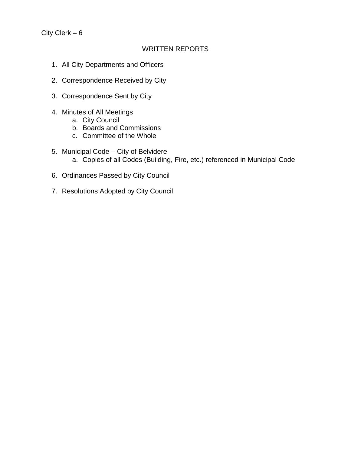## WRITTEN REPORTS

- 1. All City Departments and Officers
- 2. Correspondence Received by City
- 3. Correspondence Sent by City
- 4. Minutes of All Meetings
	- a. City Council
	- b. Boards and Commissions
	- c. Committee of the Whole
- 5. Municipal Code City of Belvidere
	- a. Copies of all Codes (Building, Fire, etc.) referenced in Municipal Code
- 6. Ordinances Passed by City Council
- 7. Resolutions Adopted by City Council